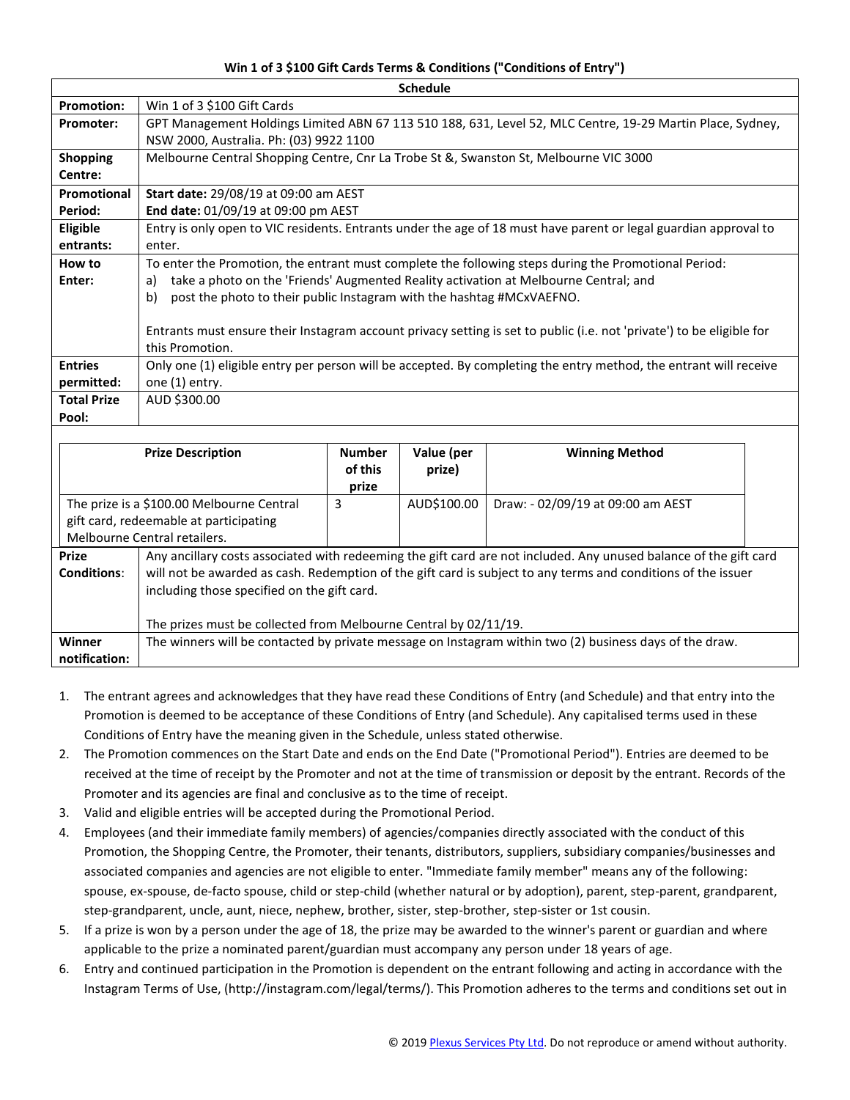## **Win 1 of 3 \$100 Gift Cards Terms & Conditions ("Conditions of Entry")**

| <b>Schedule</b>    |                                                                                                                       |  |  |  |  |  |
|--------------------|-----------------------------------------------------------------------------------------------------------------------|--|--|--|--|--|
| <b>Promotion:</b>  | Win 1 of 3 \$100 Gift Cards                                                                                           |  |  |  |  |  |
| <b>Promoter:</b>   | GPT Management Holdings Limited ABN 67 113 510 188, 631, Level 52, MLC Centre, 19-29 Martin Place, Sydney,            |  |  |  |  |  |
|                    | NSW 2000, Australia. Ph: (03) 9922 1100                                                                               |  |  |  |  |  |
| <b>Shopping</b>    | Melbourne Central Shopping Centre, Cnr La Trobe St &, Swanston St, Melbourne VIC 3000                                 |  |  |  |  |  |
| Centre:            |                                                                                                                       |  |  |  |  |  |
| Promotional        | <b>Start date: 29/08/19 at 09:00 am AEST</b>                                                                          |  |  |  |  |  |
| Period:            | End date: 01/09/19 at 09:00 pm AEST                                                                                   |  |  |  |  |  |
| Eligible           | Entry is only open to VIC residents. Entrants under the age of 18 must have parent or legal guardian approval to      |  |  |  |  |  |
| entrants:          | enter.                                                                                                                |  |  |  |  |  |
| How to             | To enter the Promotion, the entrant must complete the following steps during the Promotional Period:                  |  |  |  |  |  |
| Enter:             | take a photo on the 'Friends' Augmented Reality activation at Melbourne Central; and<br>a)                            |  |  |  |  |  |
|                    | post the photo to their public Instagram with the hashtag #MCxVAEFNO.<br>b)                                           |  |  |  |  |  |
|                    |                                                                                                                       |  |  |  |  |  |
|                    | Entrants must ensure their Instagram account privacy setting is set to public (i.e. not 'private') to be eligible for |  |  |  |  |  |
|                    | this Promotion.                                                                                                       |  |  |  |  |  |
| <b>Entries</b>     | Only one (1) eligible entry per person will be accepted. By completing the entry method, the entrant will receive     |  |  |  |  |  |
| permitted:         | one (1) entry.                                                                                                        |  |  |  |  |  |
| <b>Total Prize</b> | AUD \$300.00                                                                                                          |  |  |  |  |  |
| Pool:              |                                                                                                                       |  |  |  |  |  |
|                    |                                                                                                                       |  |  |  |  |  |

|                                           | <b>Prize Description</b>                                                                                                                                                                                                                                                          | <b>Number</b><br>of this | Value (per<br>prize) | <b>Winning Method</b>             |  |
|-------------------------------------------|-----------------------------------------------------------------------------------------------------------------------------------------------------------------------------------------------------------------------------------------------------------------------------------|--------------------------|----------------------|-----------------------------------|--|
|                                           |                                                                                                                                                                                                                                                                                   | prize                    |                      |                                   |  |
| The prize is a \$100.00 Melbourne Central |                                                                                                                                                                                                                                                                                   | 3                        | AUD\$100.00          | Draw: - 02/09/19 at 09:00 am AEST |  |
| gift card, redeemable at participating    |                                                                                                                                                                                                                                                                                   |                          |                      |                                   |  |
| Melbourne Central retailers.              |                                                                                                                                                                                                                                                                                   |                          |                      |                                   |  |
| <b>Prize</b><br><b>Conditions:</b>        | Any ancillary costs associated with redeeming the gift card are not included. Any unused balance of the gift card<br>will not be awarded as cash. Redemption of the gift card is subject to any terms and conditions of the issuer<br>including those specified on the gift card. |                          |                      |                                   |  |
|                                           | The prizes must be collected from Melbourne Central by 02/11/19.                                                                                                                                                                                                                  |                          |                      |                                   |  |
| Winner                                    | The winners will be contacted by private message on Instagram within two (2) business days of the draw.                                                                                                                                                                           |                          |                      |                                   |  |
| notification:                             |                                                                                                                                                                                                                                                                                   |                          |                      |                                   |  |

- 1. The entrant agrees and acknowledges that they have read these Conditions of Entry (and Schedule) and that entry into the Promotion is deemed to be acceptance of these Conditions of Entry (and Schedule). Any capitalised terms used in these Conditions of Entry have the meaning given in the Schedule, unless stated otherwise.
- 2. The Promotion commences on the Start Date and ends on the End Date ("Promotional Period"). Entries are deemed to be received at the time of receipt by the Promoter and not at the time of transmission or deposit by the entrant. Records of the Promoter and its agencies are final and conclusive as to the time of receipt.
- 3. Valid and eligible entries will be accepted during the Promotional Period.
- 4. Employees (and their immediate family members) of agencies/companies directly associated with the conduct of this Promotion, the Shopping Centre, the Promoter, their tenants, distributors, suppliers, subsidiary companies/businesses and associated companies and agencies are not eligible to enter. "Immediate family member" means any of the following: spouse, ex-spouse, de-facto spouse, child or step-child (whether natural or by adoption), parent, step-parent, grandparent, step-grandparent, uncle, aunt, niece, nephew, brother, sister, step-brother, step-sister or 1st cousin.
- 5. If a prize is won by a person under the age of 18, the prize may be awarded to the winner's parent or guardian and where applicable to the prize a nominated parent/guardian must accompany any person under 18 years of age.
- 6. Entry and continued participation in the Promotion is dependent on the entrant following and acting in accordance with the Instagram Terms of Use, (http://instagram.com/legal/terms/). This Promotion adheres to the terms and conditions set out in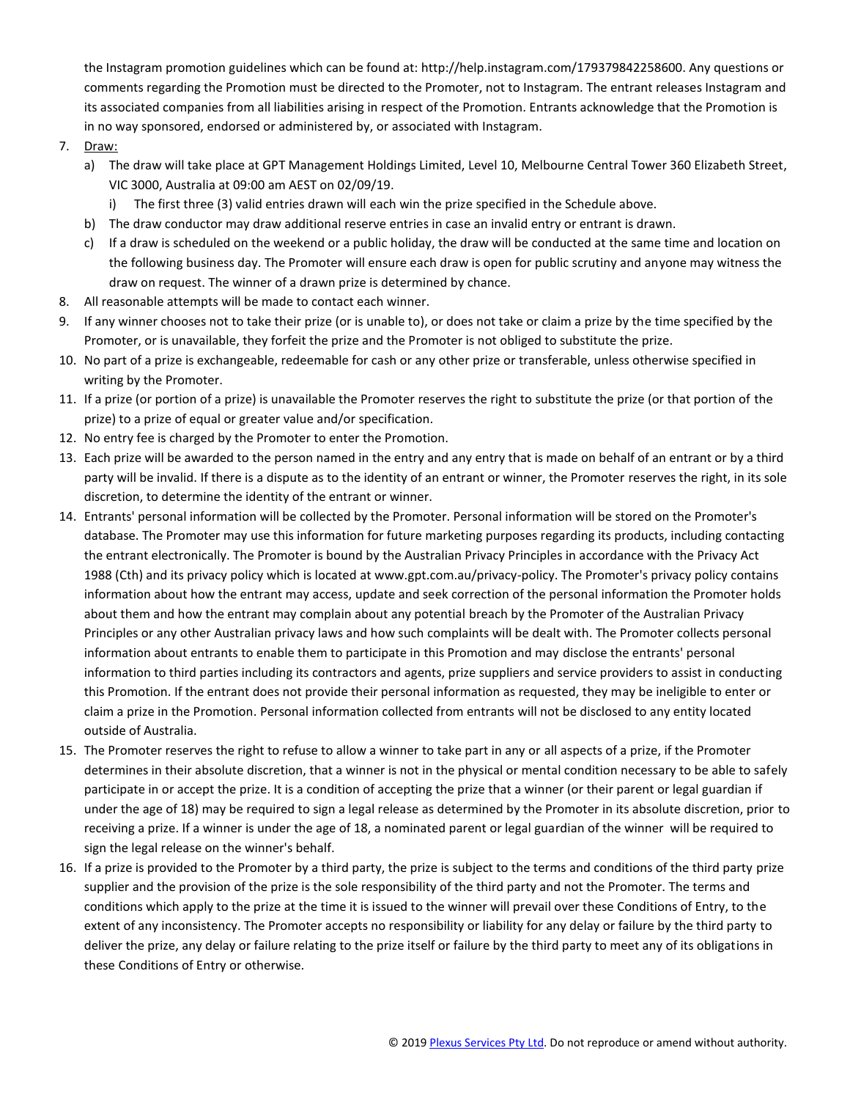the Instagram promotion guidelines which can be found at: http://help.instagram.com/179379842258600. Any questions or comments regarding the Promotion must be directed to the Promoter, not to Instagram. The entrant releases Instagram and its associated companies from all liabilities arising in respect of the Promotion. Entrants acknowledge that the Promotion is in no way sponsored, endorsed or administered by, or associated with Instagram.

- 7. Draw:
	- a) The draw will take place at GPT Management Holdings Limited, Level 10, Melbourne Central Tower 360 Elizabeth Street, VIC 3000, Australia at 09:00 am AEST on 02/09/19.
		- i) The first three (3) valid entries drawn will each win the prize specified in the Schedule above.
	- b) The draw conductor may draw additional reserve entries in case an invalid entry or entrant is drawn.
	- c) If a draw is scheduled on the weekend or a public holiday, the draw will be conducted at the same time and location on the following business day. The Promoter will ensure each draw is open for public scrutiny and anyone may witness the draw on request. The winner of a drawn prize is determined by chance.
- 8. All reasonable attempts will be made to contact each winner.
- 9. If any winner chooses not to take their prize (or is unable to), or does not take or claim a prize by the time specified by the Promoter, or is unavailable, they forfeit the prize and the Promoter is not obliged to substitute the prize.
- 10. No part of a prize is exchangeable, redeemable for cash or any other prize or transferable, unless otherwise specified in writing by the Promoter.
- 11. If a prize (or portion of a prize) is unavailable the Promoter reserves the right to substitute the prize (or that portion of the prize) to a prize of equal or greater value and/or specification.
- 12. No entry fee is charged by the Promoter to enter the Promotion.
- 13. Each prize will be awarded to the person named in the entry and any entry that is made on behalf of an entrant or by a third party will be invalid. If there is a dispute as to the identity of an entrant or winner, the Promoter reserves the right, in its sole discretion, to determine the identity of the entrant or winner.
- 14. Entrants' personal information will be collected by the Promoter. Personal information will be stored on the Promoter's database. The Promoter may use this information for future marketing purposes regarding its products, including contacting the entrant electronically. The Promoter is bound by the Australian Privacy Principles in accordance with the Privacy Act 1988 (Cth) and its privacy policy which is located at www.gpt.com.au/privacy-policy. The Promoter's privacy policy contains information about how the entrant may access, update and seek correction of the personal information the Promoter holds about them and how the entrant may complain about any potential breach by the Promoter of the Australian Privacy Principles or any other Australian privacy laws and how such complaints will be dealt with. The Promoter collects personal information about entrants to enable them to participate in this Promotion and may disclose the entrants' personal information to third parties including its contractors and agents, prize suppliers and service providers to assist in conducting this Promotion. If the entrant does not provide their personal information as requested, they may be ineligible to enter or claim a prize in the Promotion. Personal information collected from entrants will not be disclosed to any entity located outside of Australia.
- 15. The Promoter reserves the right to refuse to allow a winner to take part in any or all aspects of a prize, if the Promoter determines in their absolute discretion, that a winner is not in the physical or mental condition necessary to be able to safely participate in or accept the prize. It is a condition of accepting the prize that a winner (or their parent or legal guardian if under the age of 18) may be required to sign a legal release as determined by the Promoter in its absolute discretion, prior to receiving a prize. If a winner is under the age of 18, a nominated parent or legal guardian of the winner will be required to sign the legal release on the winner's behalf.
- 16. If a prize is provided to the Promoter by a third party, the prize is subject to the terms and conditions of the third party prize supplier and the provision of the prize is the sole responsibility of the third party and not the Promoter. The terms and conditions which apply to the prize at the time it is issued to the winner will prevail over these Conditions of Entry, to the extent of any inconsistency. The Promoter accepts no responsibility or liability for any delay or failure by the third party to deliver the prize, any delay or failure relating to the prize itself or failure by the third party to meet any of its obligations in these Conditions of Entry or otherwise.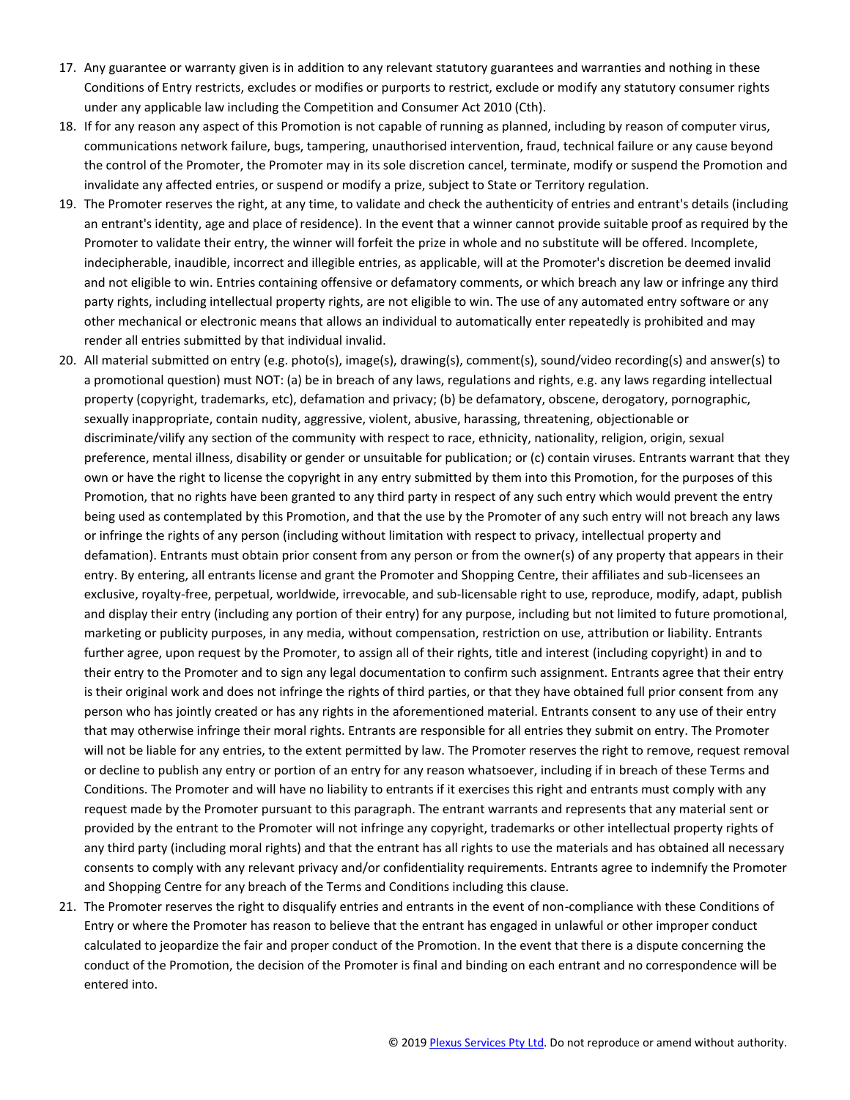- 17. Any guarantee or warranty given is in addition to any relevant statutory guarantees and warranties and nothing in these Conditions of Entry restricts, excludes or modifies or purports to restrict, exclude or modify any statutory consumer rights under any applicable law including the Competition and Consumer Act 2010 (Cth).
- 18. If for any reason any aspect of this Promotion is not capable of running as planned, including by reason of computer virus, communications network failure, bugs, tampering, unauthorised intervention, fraud, technical failure or any cause beyond the control of the Promoter, the Promoter may in its sole discretion cancel, terminate, modify or suspend the Promotion and invalidate any affected entries, or suspend or modify a prize, subject to State or Territory regulation.
- 19. The Promoter reserves the right, at any time, to validate and check the authenticity of entries and entrant's details (including an entrant's identity, age and place of residence). In the event that a winner cannot provide suitable proof as required by the Promoter to validate their entry, the winner will forfeit the prize in whole and no substitute will be offered. Incomplete, indecipherable, inaudible, incorrect and illegible entries, as applicable, will at the Promoter's discretion be deemed invalid and not eligible to win. Entries containing offensive or defamatory comments, or which breach any law or infringe any third party rights, including intellectual property rights, are not eligible to win. The use of any automated entry software or any other mechanical or electronic means that allows an individual to automatically enter repeatedly is prohibited and may render all entries submitted by that individual invalid.
- 20. All material submitted on entry (e.g. photo(s), image(s), drawing(s), comment(s), sound/video recording(s) and answer(s) to a promotional question) must NOT: (a) be in breach of any laws, regulations and rights, e.g. any laws regarding intellectual property (copyright, trademarks, etc), defamation and privacy; (b) be defamatory, obscene, derogatory, pornographic, sexually inappropriate, contain nudity, aggressive, violent, abusive, harassing, threatening, objectionable or discriminate/vilify any section of the community with respect to race, ethnicity, nationality, religion, origin, sexual preference, mental illness, disability or gender or unsuitable for publication; or (c) contain viruses. Entrants warrant that they own or have the right to license the copyright in any entry submitted by them into this Promotion, for the purposes of this Promotion, that no rights have been granted to any third party in respect of any such entry which would prevent the entry being used as contemplated by this Promotion, and that the use by the Promoter of any such entry will not breach any laws or infringe the rights of any person (including without limitation with respect to privacy, intellectual property and defamation). Entrants must obtain prior consent from any person or from the owner(s) of any property that appears in their entry. By entering, all entrants license and grant the Promoter and Shopping Centre, their affiliates and sub-licensees an exclusive, royalty-free, perpetual, worldwide, irrevocable, and sub-licensable right to use, reproduce, modify, adapt, publish and display their entry (including any portion of their entry) for any purpose, including but not limited to future promotional, marketing or publicity purposes, in any media, without compensation, restriction on use, attribution or liability. Entrants further agree, upon request by the Promoter, to assign all of their rights, title and interest (including copyright) in and to their entry to the Promoter and to sign any legal documentation to confirm such assignment. Entrants agree that their entry is their original work and does not infringe the rights of third parties, or that they have obtained full prior consent from any person who has jointly created or has any rights in the aforementioned material. Entrants consent to any use of their entry that may otherwise infringe their moral rights. Entrants are responsible for all entries they submit on entry. The Promoter will not be liable for any entries, to the extent permitted by law. The Promoter reserves the right to remove, request removal or decline to publish any entry or portion of an entry for any reason whatsoever, including if in breach of these Terms and Conditions. The Promoter and will have no liability to entrants if it exercises this right and entrants must comply with any request made by the Promoter pursuant to this paragraph. The entrant warrants and represents that any material sent or provided by the entrant to the Promoter will not infringe any copyright, trademarks or other intellectual property rights of any third party (including moral rights) and that the entrant has all rights to use the materials and has obtained all necessary consents to comply with any relevant privacy and/or confidentiality requirements. Entrants agree to indemnify the Promoter and Shopping Centre for any breach of the Terms and Conditions including this clause.
- 21. The Promoter reserves the right to disqualify entries and entrants in the event of non-compliance with these Conditions of Entry or where the Promoter has reason to believe that the entrant has engaged in unlawful or other improper conduct calculated to jeopardize the fair and proper conduct of the Promotion. In the event that there is a dispute concerning the conduct of the Promotion, the decision of the Promoter is final and binding on each entrant and no correspondence will be entered into.